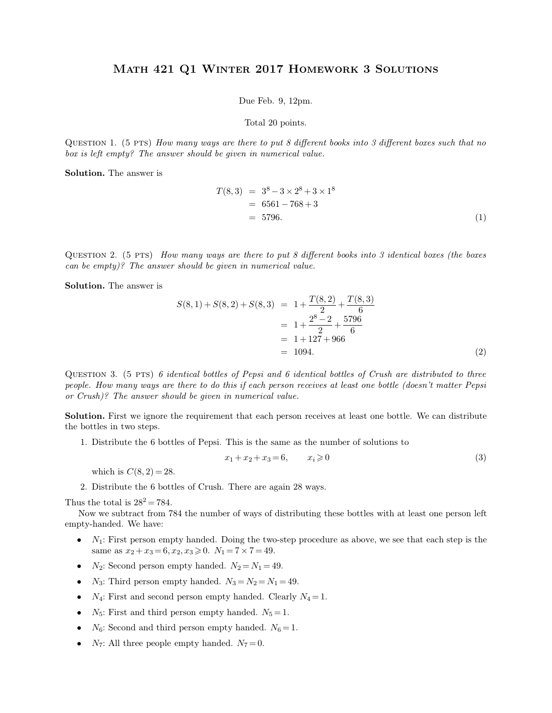## Math 421 Q1 Winter 2017 Homework 3 Solutions MATH 421 Q1 WINTER 2017 HOMEWORK 3 SOLUTIONS<br>Due Feb. 9, 12pm.<br>Total 20 points.  $R$  2017 HOME<br>
Due Feb. 9, 12pm.<br>
Total 20 points.

Due Feb. 9, 12pm.<br>
Total 20 points.<br>
QUESTION 1. (5 PTS) *How many ways are there to put 8 different books into 3 different boxes such that no*<br>
box is left empty? The answer should be given in numerical value. Due Feb. 9, 12pm.<br>Total 20 points.<br>QUESTION 1. (5 PTS) *How many ways are there to put 8 different book*<br>box is left empty? The answer should be given in numerical value.<br>Solution. The answer is QUESTION 1. (5 PTS) How man box is left empty? The answer sh<br>**Solution.** The answer is

s are there to put 8 different books into 3 different boxes such that no

\nbe given in numerical value.

\n
$$
T(8,3) = 3^8 - 3 \times 2^8 + 3 \times 1^8
$$
\n
$$
= 6561 - 768 + 3
$$
\n
$$
= 5796.
$$
\n(1)

 $= 6561 - 768 + 3$ <br> $= 5796.$  (1)<br>QUESTION 2. (5 PTS) *How many ways are there to put 8 different books into 3 identical boxes (the boxes*<br>can be empty)? The answer should be given in numerical value. = 5796.<br>
QUESTION 2. (5 PTS) *How many ways are there to put 8 different*<br>
can be empty)? The answer should be given in numerical value.<br>
Solution The answer is QUESTION 2. (5 PTS) How ma<br>can be empty)? The answer shot<br>**Solution.** The answer is

| QUESTION 2. (5 PTS) How many ways are there to put 8 different books into 3 identical boxes (the boxes can be empty)? The answer should be given in numerical value. |                                                                                                                                               |                 |                                                                                                                                                                                                                                                      |
|----------------------------------------------------------------------------------------------------------------------------------------------------------------------|-----------------------------------------------------------------------------------------------------------------------------------------------|-----------------|------------------------------------------------------------------------------------------------------------------------------------------------------------------------------------------------------------------------------------------------------|
| Solution. The answer is                                                                                                                                              | \n $S(8,1) + S(8,2) + S(8,3) = 1 + \frac{T(8,2)}{2} + \frac{T(8,3)}{6}$ \n $= 1 + \frac{2^8 - 2}{2} + \frac{5796}{6}$ \n $= 1 + 127 + 966$ \n | \n $= 1094.$ \n | \n <p>(2)</p> \n <p>QUESTION 3. (5 PTS) 6 identical bottles of Pepsi and 6 identical bottles of Crush are distributed to three people. How many ways are there to do this if each person receives at least one bottle (doesn't matter Pepsi).</p> \n |

*people. How many ways are there to do this if each person receives at least one bottle (doesn't matter Pepsi* or *Crush*)? The answer should be given in numerical value. *or Crush)*<br>*or Crush)? The answer should be given in numerical value.*<br> $\frac{1}{2}$ <br>*or Crush)? The answer should be given in numerical value.*<br> $\frac{1}{2}$ QUESTION 3. (5 PTS) 6 identical bottles of Pepsi and 6 identical bottles of Crush are distributed to three people. How many ways are there to do this if each person receives at least one bottle (doesn't matter Pepsi or Cru people. How many ways are there to do this if each person receives at least one bottle (doesn't matter Pepsi<br>or Crush)? The answer should be given in numerical value.<br>**Solution.** First we ignore the requirement that each p

Frush)? The answer should be given in numerical value.<br> **1.** Distribute the 6 bottles of Pepsi. This is the same as the number of solutions to<br>
1. Distribute the 6 bottles of Pepsi. This is the same as the number of solut % and that each person receives at least one bottle. We can distribute<br>This is the same as the number of solutions to<br> $x_1 + x_2 + x_3 = 6$ ,  $x_i \ge 0$  (3) which: First we ignote the requirement that each person receives an bottles in two steps.<br>
1. Distribute the 6 bottles of Pepsi. This is the same as the numbe<br>  $x_1 + x_2 + x_3 = 6$ ,  $x_i \ge 0$ <br>
which is  $C(8, 2) = 28$ .<br>
2. Distr

$$
x_1 + x_2 + x_3 = 6, \qquad x_i \geq 0 \tag{3}
$$

Thus the total is  $C(8, 2) = 28$ .<br>
2. Distribute the 6 bottles of Crush. There are again 28 ways.<br>
Thus the total is  $28^2 = 784$ .<br>
Now we subtract from 784 the number of ways of distributing these bottles with at least one

- which is  $C(8, 2) = 28$ .<br>
2. Distribute the 6 bottles of Crush. There are again 28 ways.<br>
Thus the total is  $28^2 = 784$ .<br>
Now we subtract from 784 the number of ways of distributing these bottles with at least one person l Thus the total is  $28^2 = 784$ .<br>
Now we subtract from 784 the number of ways of distributing these bottles with at least one person left<br>
empty-handed. We have:<br>
•  $N_1$ : First person empty handed. Doing the two-step proce us the total is  $28^2 = 784$ .<br>
Now we subtract from 784 the number of ways of distributing these bottlety-handed. We have:<br>
•  $N_1$ : First person empty handed. Doing the two-step procedure as above same as  $x_2 + x_3 = 6$ ,  $x$ 
	-
	-
	-
	-
	-
	-